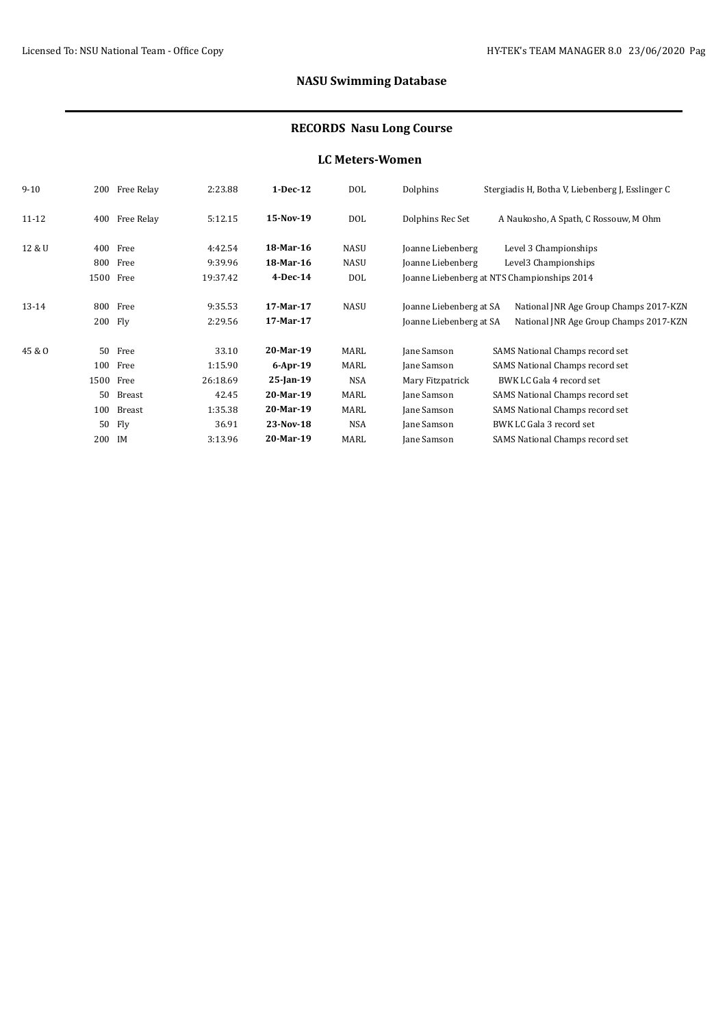# **NASU Swimming Database**

### **RECORDS Nasu Long Course**

#### **LC Meters-Women**

| $9 - 10$ | 200    | Free Relay | 2:23.88  | $1-Dec-12$   | DOL         | Dolphins                | Stergiadis H, Botha V, Liebenberg J, Esslinger C |
|----------|--------|------------|----------|--------------|-------------|-------------------------|--------------------------------------------------|
| 11-12    | 400    | Free Relay | 5:12.15  | 15-Nov-19    | DOL         | Dolphins Rec Set        | A Naukosho, A Spath, C Rossouw, M Ohm            |
| 12 & U   | 400    | Free       | 4:42.54  | 18-Mar-16    | <b>NASU</b> | Joanne Liebenberg       | Level 3 Championships                            |
|          |        | 800 Free   | 9:39.96  | 18-Mar-16    | <b>NASU</b> | Joanne Liebenberg       | Level3 Championships                             |
|          |        | 1500 Free  | 19:37.42 | $4$ -Dec-14  | DOL         |                         | Joanne Liebenberg at NTS Championships 2014      |
| 13-14    | 800    | Free       | 9:35.53  | 17-Mar-17    | NASU        | Joanne Liebenberg at SA | National JNR Age Group Champs 2017-KZN           |
|          |        | 200 Fly    | 2:29.56  | 17-Mar-17    |             | Joanne Liebenberg at SA | National JNR Age Group Champs 2017-KZN           |
| 45 & O   | 50     | Free       | 33.10    | 20-Mar-19    | MARL        | Jane Samson             | SAMS National Champs record set                  |
|          | 100    | Free       | 1:15.90  | $6$ -Apr-19  | MARL        | Jane Samson             | SAMS National Champs record set                  |
|          | 1500   | Free       | 26:18.69 | $25$ -Jan-19 | <b>NSA</b>  | Mary Fitzpatrick        | BWK LC Gala 4 record set                         |
|          | 50     | Breast     | 42.45    | 20-Mar-19    | MARL        | Jane Samson             | SAMS National Champs record set                  |
|          | 100    | Breast     | 1:35.38  | 20-Mar-19    | MARL        | Jane Samson             | SAMS National Champs record set                  |
|          | 50     | Fly        | 36.91    | 23-Nov-18    | <b>NSA</b>  | Jane Samson             | BWK LC Gala 3 record set                         |
|          | 200 IM |            | 3:13.96  | 20-Mar-19    | MARL        | Jane Samson             | SAMS National Champs record set                  |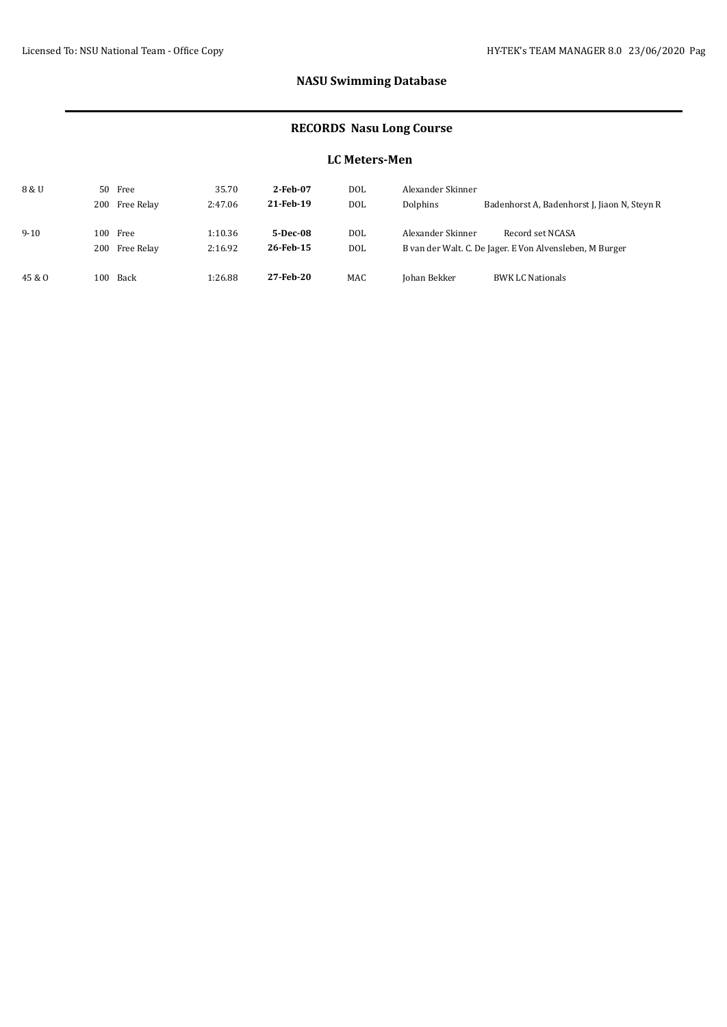# **NASU Swimming Database**

### **RECORDS Nasu Long Course**

### **LC Meters-Men**

| 8 & U    | 50 Free  |                | 35.70   | 2-Feb-07  | <b>DOL</b> | Alexander Skinner |                                                          |  |
|----------|----------|----------------|---------|-----------|------------|-------------------|----------------------------------------------------------|--|
|          |          | 200 Free Relay | 2:47.06 | 21-Feb-19 | <b>DOL</b> | Dolphins          | Badenhorst A, Badenhorst J, Jiaon N, Steyn R             |  |
|          |          |                |         |           |            |                   |                                                          |  |
| $9 - 10$ | 100 Free |                | 1:10.36 | 5-Dec-08  | <b>DOL</b> | Alexander Skinner | Record set NCASA                                         |  |
|          |          | 200 Free Relay | 2:16.92 | 26-Feb-15 | <b>DOL</b> |                   | B van der Walt. C. De Jager. E Von Alvensleben, M Burger |  |
|          |          |                |         |           |            |                   |                                                          |  |
| 45 & O   | 100 Back |                | 1:26.88 | 27-Feb-20 | <b>MAC</b> | Johan Bekker      | <b>BWK LC Nationals</b>                                  |  |